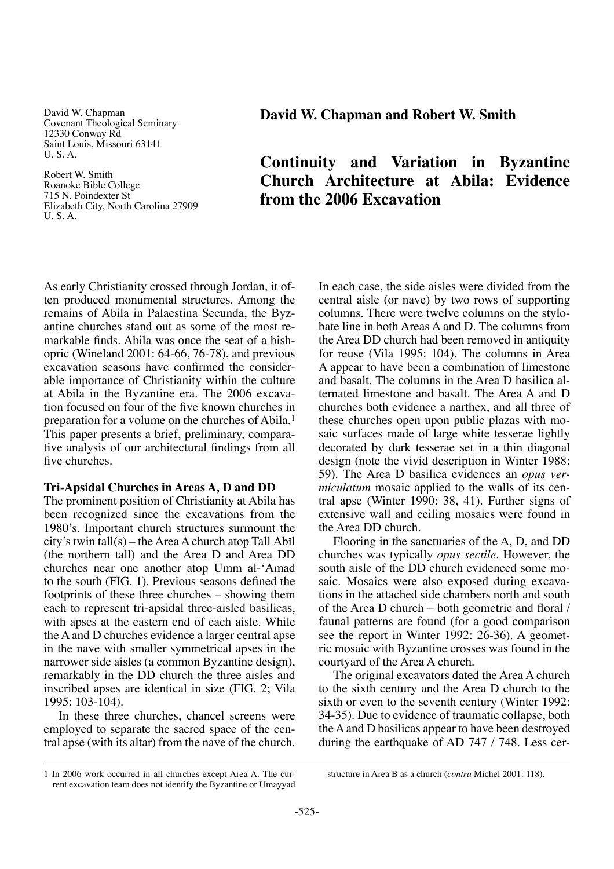David W. Chapman Covenant Theological Seminary 12330 Conway Rd Saint Louis, Missouri 63141 U. S. A.

Robert W. Smith Roanoke Bible College 715 N. Poindexter St Elizabeth City, North Carolina 27909 U. S. A.

**David W. Chapman and Robert W. Smith**

# **Continuity and Variation in Byzantine Church Architecture at Abila: Evidence from the 2006 Excavation**

As early Christianity crossed through Jordan, it often produced monumental structures. Among the remains of Abila in Palaestina Secunda, the Byzantine churches stand out as some of the most remarkable finds. Abila was once the seat of a bishopric (Wineland 2001: 64-66, 76-78), and previous excavation seasons have confirmed the considerable importance of Christianity within the culture at Abila in the Byzantine era. The 2006 excavation focused on four of the five known churches in preparation for a volume on the churches of Abila.1 This paper presents a brief, preliminary, comparative analysis of our architectural findings from all five churches.

### **Tri-Apsidal Churches in Areas A, D and DD**

The prominent position of Christianity at Abila has been recognized since the excavations from the 1980's. Important church structures surmount the city's twin tall(s) – the Area A church atop Tall Abil (the northern tall) and the Area D and Area DD churches near one another atop Umm al-'Amad to the south (FIG. 1). Previous seasons defined the footprints of these three churches – showing them each to represent tri-apsidal three-aisled basilicas, with apses at the eastern end of each aisle. While the A and D churches evidence a larger central apse in the nave with smaller symmetrical apses in the narrower side aisles (a common Byzantine design), remarkably in the DD church the three aisles and inscribed apses are identical in size (FIG. 2; Vila 1995: 103-104).

In these three churches, chancel screens were employed to separate the sacred space of the central apse (with its altar) from the nave of the church. In each case, the side aisles were divided from the central aisle (or nave) by two rows of supporting columns. There were twelve columns on the stylobate line in both Areas A and D. The columns from the Area DD church had been removed in antiquity for reuse (Vila 1995: 104). The columns in Area A appear to have been a combination of limestone and basalt. The columns in the Area D basilica alternated limestone and basalt. The Area A and D churches both evidence a narthex, and all three of these churches open upon public plazas with mosaic surfaces made of large white tesserae lightly decorated by dark tesserae set in a thin diagonal design (note the vivid description in Winter 1988: 59). The Area D basilica evidences an *opus vermiculatum* mosaic applied to the walls of its central apse (Winter 1990: 38, 41). Further signs of extensive wall and ceiling mosaics were found in the Area DD church.

Flooring in the sanctuaries of the A, D, and DD churches was typically *opus sectile*. However, the south aisle of the DD church evidenced some mosaic. Mosaics were also exposed during excavations in the attached side chambers north and south of the Area D church – both geometric and floral / faunal patterns are found (for a good comparison see the report in Winter 1992: 26-36). A geometric mosaic with Byzantine crosses was found in the courtyard of the Area A church.

The original excavators dated the Area A church to the sixth century and the Area D church to the sixth or even to the seventh century (Winter 1992: 34-35). Due to evidence of traumatic collapse, both the A and D basilicas appear to have been destroyed during the earthquake of AD 747 / 748. Less cer-

<sup>1</sup> In 2006 work occurred in all churches except Area A. The current excavation team does not identify the Byzantine or Umayyad

structure in Area B as a church (*contra* Michel 2001: 118).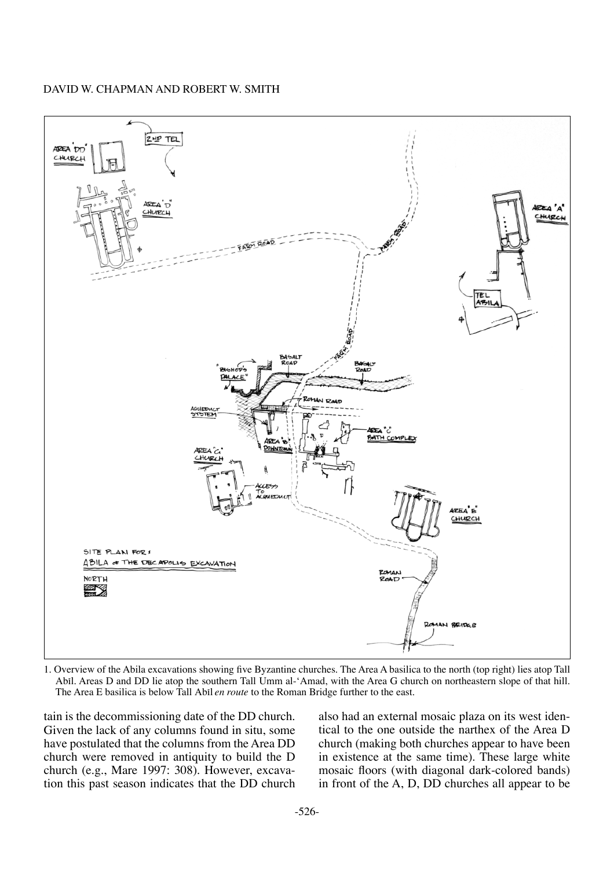

1. Overview of the Abila excavations showing five Byzantine churches. The Area A basilica to the north (top right) lies atop Tall Abil. Areas D and DD lie atop the southern Tall Umm al-'Amad, with the Area G church on northeastern slope of that hill. The Area E basilica is below Tall Abil *en route* to the Roman Bridge further to the east.

tain is the decommissioning date of the DD church. Given the lack of any columns found in situ, some have postulated that the columns from the Area DD church were removed in antiquity to build the D church (e.g., Mare 1997: 308). However, excavation this past season indicates that the DD church also had an external mosaic plaza on its west identical to the one outside the narthex of the Area D church (making both churches appear to have been in existence at the same time). These large white mosaic floors (with diagonal dark-colored bands) in front of the A, D, DD churches all appear to be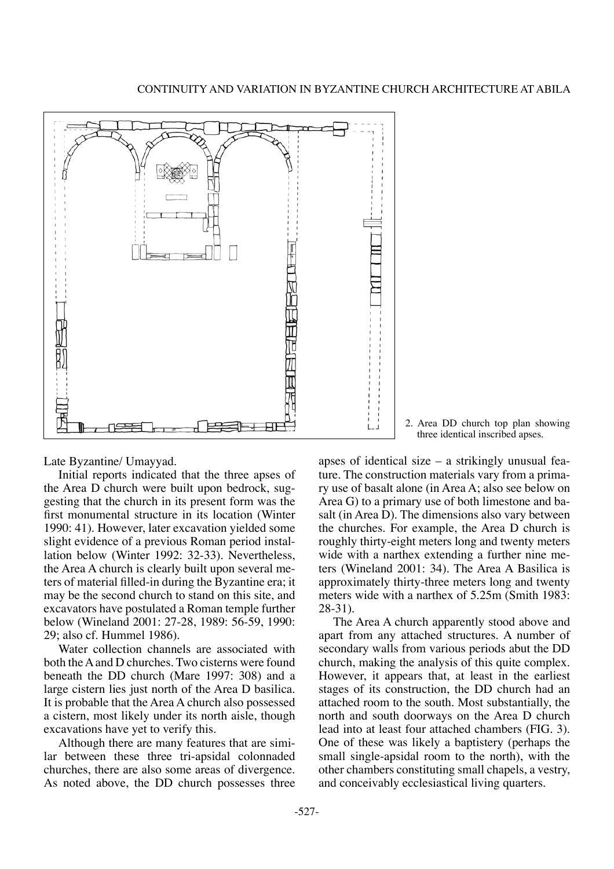

Late Byzantine/ Umayyad.

Initial reports indicated that the three apses of the Area D church were built upon bedrock, suggesting that the church in its present form was the first monumental structure in its location (Winter 1990: 41). However, later excavation yielded some slight evidence of a previous Roman period installation below (Winter 1992: 32-33). Nevertheless, the Area A church is clearly built upon several meters of material filled-in during the Byzantine era; it may be the second church to stand on this site, and excavators have postulated a Roman temple further below (Wineland 2001: 27-28, 1989: 56-59, 1990: 29; also cf. Hummel 1986).

Water collection channels are associated with both the A and D churches. Two cisterns were found beneath the DD church (Mare 1997: 308) and a large cistern lies just north of the Area D basilica. It is probable that the Area A church also possessed a cistern, most likely under its north aisle, though excavations have yet to verify this.

Although there are many features that are similar between these three tri-apsidal colonnaded churches, there are also some areas of divergence. As noted above, the DD church possesses three

2. Area DD church top plan showing three identical inscribed apses.

apses of identical size – a strikingly unusual feature. The construction materials vary from a primary use of basalt alone (in Area A; also see below on Area G) to a primary use of both limestone and basalt (in Area D). The dimensions also vary between the churches. For example, the Area D church is roughly thirty-eight meters long and twenty meters wide with a narthex extending a further nine meters (Wineland 2001: 34). The Area A Basilica is approximately thirty-three meters long and twenty meters wide with a narthex of 5.25m (Smith 1983: 28-31).

The Area A church apparently stood above and apart from any attached structures. A number of secondary walls from various periods abut the DD church, making the analysis of this quite complex. However, it appears that, at least in the earliest stages of its construction, the DD church had an attached room to the south. Most substantially, the north and south doorways on the Area D church lead into at least four attached chambers (FIG. 3). One of these was likely a baptistery (perhaps the small single-apsidal room to the north), with the other chambers constituting small chapels, a vestry, and conceivably ecclesiastical living quarters.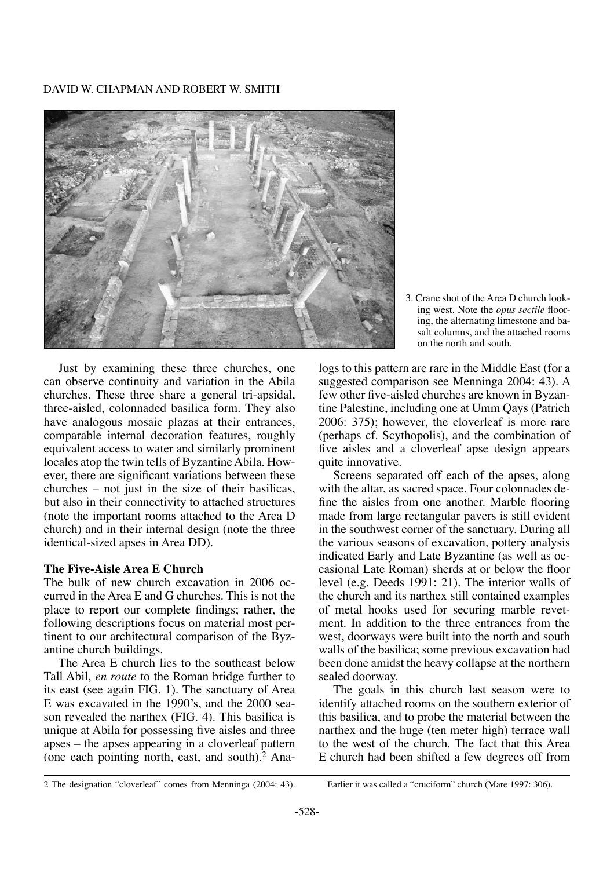

3. Crane shot of the Area D church looking west. Note the *opus sectile* flooring, the alternating limestone and basalt columns, and the attached rooms on the north and south.

Just by examining these three churches, one can observe continuity and variation in the Abila churches. These three share a general tri-apsidal, three-aisled, colonnaded basilica form. They also have analogous mosaic plazas at their entrances, comparable internal decoration features, roughly equivalent access to water and similarly prominent locales atop the twin tells of Byzantine Abila. However, there are significant variations between these churches – not just in the size of their basilicas, but also in their connectivity to attached structures (note the important rooms attached to the Area D church) and in their internal design (note the three identical-sized apses in Area DD).

# **The Five-Aisle Area E Church**

The bulk of new church excavation in 2006 occurred in the Area E and G churches. This is not the place to report our complete findings; rather, the following descriptions focus on material most pertinent to our architectural comparison of the Byzantine church buildings.

The Area E church lies to the southeast below Tall Abil, *en route* to the Roman bridge further to its east (see again FIG. 1). The sanctuary of Area E was excavated in the 1990's, and the 2000 season revealed the narthex (FIG. 4). This basilica is unique at Abila for possessing five aisles and three apses – the apses appearing in a cloverleaf pattern (one each pointing north, east, and south).2 Analogs to this pattern are rare in the Middle East (for a suggested comparison see Menninga 2004: 43). A few other five-aisled churches are known in Byzantine Palestine, including one at Umm Qays (Patrich 2006: 375); however, the cloverleaf is more rare (perhaps cf. Scythopolis), and the combination of five aisles and a cloverleaf apse design appears quite innovative.

Screens separated off each of the apses, along with the altar, as sacred space. Four colonnades define the aisles from one another. Marble flooring made from large rectangular pavers is still evident in the southwest corner of the sanctuary. During all the various seasons of excavation, pottery analysis indicated Early and Late Byzantine (as well as occasional Late Roman) sherds at or below the floor level (e.g. Deeds 1991: 21). The interior walls of the church and its narthex still contained examples of metal hooks used for securing marble revetment. In addition to the three entrances from the west, doorways were built into the north and south walls of the basilica; some previous excavation had been done amidst the heavy collapse at the northern sealed doorway.

The goals in this church last season were to identify attached rooms on the southern exterior of this basilica, and to probe the material between the narthex and the huge (ten meter high) terrace wall to the west of the church. The fact that this Area E church had been shifted a few degrees off from

<sup>2</sup> The designation "cloverleaf" comes from Menninga (2004: 43). Earlier it was called a "cruciform" church (Mare 1997: 306).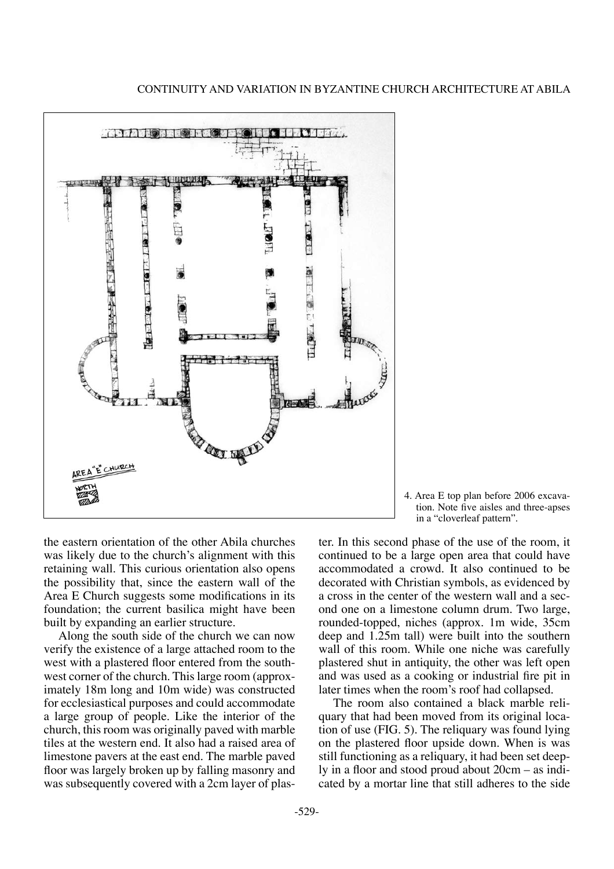

4. Area E top plan before 2006 excavation. Note five aisles and three-apses in a "cloverleaf pattern".

the eastern orientation of the other Abila churches was likely due to the church's alignment with this retaining wall. This curious orientation also opens the possibility that, since the eastern wall of the Area E Church suggests some modifications in its foundation; the current basilica might have been built by expanding an earlier structure.

Along the south side of the church we can now verify the existence of a large attached room to the west with a plastered floor entered from the southwest corner of the church. This large room (approximately 18m long and 10m wide) was constructed for ecclesiastical purposes and could accommodate a large group of people. Like the interior of the church, this room was originally paved with marble tiles at the western end. It also had a raised area of limestone pavers at the east end. The marble paved floor was largely broken up by falling masonry and was subsequently covered with a 2cm layer of plaster. In this second phase of the use of the room, it continued to be a large open area that could have accommodated a crowd. It also continued to be decorated with Christian symbols, as evidenced by a cross in the center of the western wall and a second one on a limestone column drum. Two large, rounded-topped, niches (approx. 1m wide, 35cm deep and 1.25m tall) were built into the southern wall of this room. While one niche was carefully plastered shut in antiquity, the other was left open and was used as a cooking or industrial fire pit in later times when the room's roof had collapsed.

The room also contained a black marble reliquary that had been moved from its original location of use (FIG. 5). The reliquary was found lying on the plastered floor upside down. When is was still functioning as a reliquary, it had been set deeply in a floor and stood proud about 20cm – as indicated by a mortar line that still adheres to the side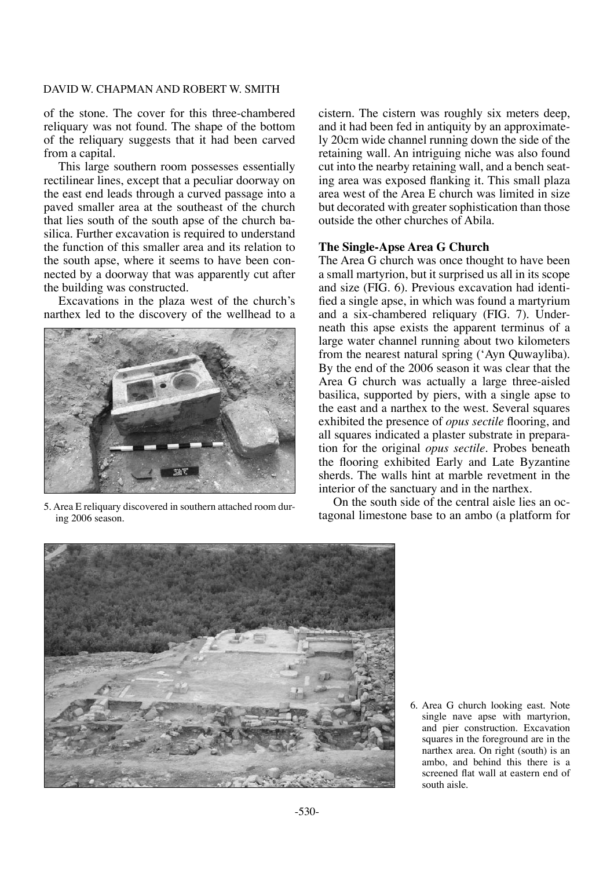of the stone. The cover for this three-chambered reliquary was not found. The shape of the bottom of the reliquary suggests that it had been carved from a capital.

This large southern room possesses essentially rectilinear lines, except that a peculiar doorway on the east end leads through a curved passage into a paved smaller area at the southeast of the church that lies south of the south apse of the church basilica. Further excavation is required to understand the function of this smaller area and its relation to the south apse, where it seems to have been connected by a doorway that was apparently cut after the building was constructed.

Excavations in the plaza west of the church's narthex led to the discovery of the wellhead to a



ing 2006 season.

cistern. The cistern was roughly six meters deep, and it had been fed in antiquity by an approximately 20cm wide channel running down the side of the retaining wall. An intriguing niche was also found cut into the nearby retaining wall, and a bench seating area was exposed flanking it. This small plaza area west of the Area E church was limited in size but decorated with greater sophistication than those outside the other churches of Abila.

# **The Single-Apse Area G Church**

The Area G church was once thought to have been a small martyrion, but it surprised us all in its scope and size (FIG. 6). Previous excavation had identified a single apse, in which was found a martyrium and a six-chambered reliquary (FIG. 7). Underneath this apse exists the apparent terminus of a large water channel running about two kilometers from the nearest natural spring ('Ayn Quwayliba). By the end of the 2006 season it was clear that the Area G church was actually a large three-aisled basilica, supported by piers, with a single apse to the east and a narthex to the west. Several squares exhibited the presence of *opus sectile* flooring, and all squares indicated a plaster substrate in preparation for the original *opus sectile*. Probes beneath the flooring exhibited Early and Late Byzantine sherds. The walls hint at marble revetment in the interior of the sanctuary and in the narthex.

On the south side of the central aisle lies an octagonal limestone base to an ambo (a platform for 5. Area E reliquary discovered in southern attached room dur-<br>tagonal limestone base to an ambo (a platform for



6. Area G church looking east. Note single nave apse with martyrion, and pier construction. Excavation squares in the foreground are in the narthex area. On right (south) is an ambo, and behind this there is a screened flat wall at eastern end of south aisle.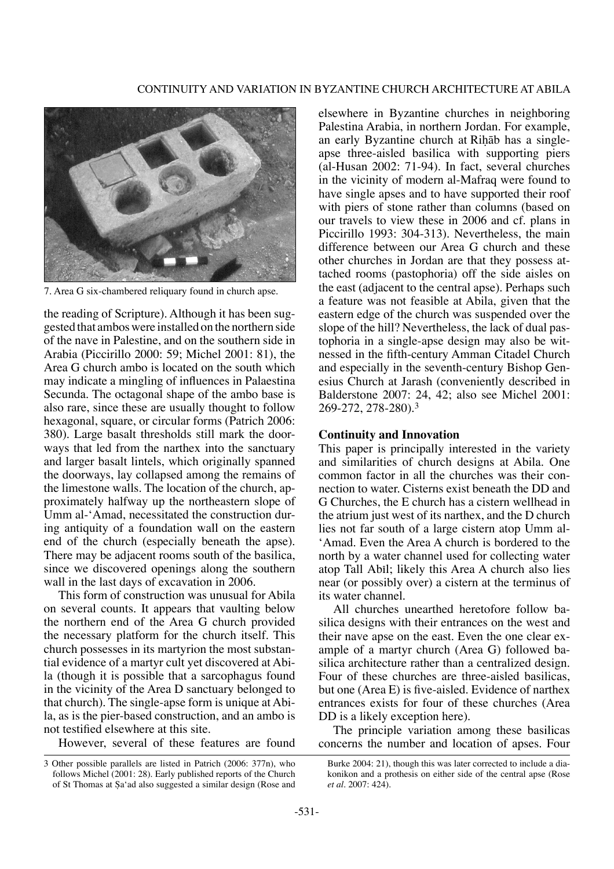

7. Area G six-chambered reliquary found in church apse.

the reading of Scripture). Although it has been suggested that ambos were installed on the northern side of the nave in Palestine, and on the southern side in Arabia (Piccirillo 2000: 59; Michel 2001: 81), the Area G church ambo is located on the south which may indicate a mingling of influences in Palaestina Secunda. The octagonal shape of the ambo base is also rare, since these are usually thought to follow hexagonal, square, or circular forms (Patrich 2006: 380). Large basalt thresholds still mark the doorways that led from the narthex into the sanctuary and larger basalt lintels, which originally spanned the doorways, lay collapsed among the remains of the limestone walls. The location of the church, approximately halfway up the northeastern slope of Umm al-'Amad, necessitated the construction during antiquity of a foundation wall on the eastern end of the church (especially beneath the apse). There may be adjacent rooms south of the basilica, since we discovered openings along the southern wall in the last days of excavation in 2006.

This form of construction was unusual for Abila on several counts. It appears that vaulting below the northern end of the Area G church provided the necessary platform for the church itself. This church possesses in its martyrion the most substantial evidence of a martyr cult yet discovered at Abila (though it is possible that a sarcophagus found in the vicinity of the Area D sanctuary belonged to that church). The single-apse form is unique at Abila, as is the pier-based construction, and an ambo is not testified elsewhere at this site.

However, several of these features are found

elsewhere in Byzantine churches in neighboring Palestina Arabia, in northern Jordan. For example, an early Byzantine church at Rihab has a singleapse three-aisled basilica with supporting piers (al-Husan 2002: 71-94). In fact, several churches in the vicinity of modern al-Mafraq were found to have single apses and to have supported their roof with piers of stone rather than columns (based on our travels to view these in 2006 and cf. plans in Piccirillo 1993: 304-313). Nevertheless, the main difference between our Area G church and these other churches in Jordan are that they possess attached rooms (pastophoria) off the side aisles on the east (adjacent to the central apse). Perhaps such a feature was not feasible at Abila, given that the eastern edge of the church was suspended over the slope of the hill? Nevertheless, the lack of dual pastophoria in a single-apse design may also be witnessed in the fifth-century Amman Citadel Church and especially in the seventh-century Bishop Genesius Church at Jarash (conveniently described in Balderstone 2007: 24, 42; also see Michel 2001: 269-272, 278-280).3

## **Continuity and Innovation**

This paper is principally interested in the variety and similarities of church designs at Abila. One common factor in all the churches was their connection to water. Cisterns exist beneath the DD and G Churches, the E church has a cistern wellhead in the atrium just west of its narthex, and the D church lies not far south of a large cistern atop Umm al- 'Amad. Even the Area A church is bordered to the north by a water channel used for collecting water atop Tall Abil; likely this Area A church also lies near (or possibly over) a cistern at the terminus of its water channel.

All churches unearthed heretofore follow basilica designs with their entrances on the west and their nave apse on the east. Even the one clear example of a martyr church (Area G) followed basilica architecture rather than a centralized design. Four of these churches are three-aisled basilicas, but one (Area E) is five-aisled. Evidence of narthex entrances exists for four of these churches (Area DD is a likely exception here).

The principle variation among these basilicas concerns the number and location of apses. Four

<sup>3</sup> Other possible parallels are listed in Patrich (2006: 377n), who follows Michel (2001: 28). Early published reports of the Church of St Thomas at Sa'ad also suggested a similar design (Rose and

Burke 2004: 21), though this was later corrected to include a diakonikon and a prothesis on either side of the central apse (Rose *et al.* 2007: 424).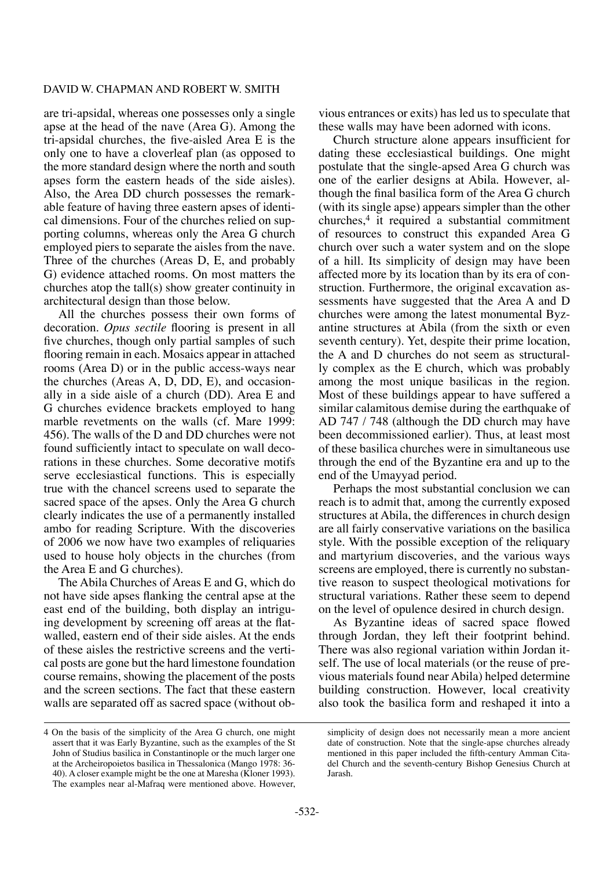are tri-apsidal, whereas one possesses only a single apse at the head of the nave (Area G). Among the tri-apsidal churches, the five-aisled Area E is the only one to have a cloverleaf plan (as opposed to the more standard design where the north and south apses form the eastern heads of the side aisles). Also, the Area DD church possesses the remarkable feature of having three eastern apses of identical dimensions. Four of the churches relied on supporting columns, whereas only the Area G church employed piers to separate the aisles from the nave. Three of the churches (Areas D, E, and probably G) evidence attached rooms. On most matters the churches atop the tall(s) show greater continuity in architectural design than those below.

All the churches possess their own forms of decoration. *Opus sectile* flooring is present in all five churches, though only partial samples of such flooring remain in each. Mosaics appear in attached rooms (Area D) or in the public access-ways near the churches (Areas A, D, DD, E), and occasionally in a side aisle of a church (DD). Area E and G churches evidence brackets employed to hang marble revetments on the walls (cf. Mare 1999: 456). The walls of the D and DD churches were not found sufficiently intact to speculate on wall decorations in these churches. Some decorative motifs serve ecclesiastical functions. This is especially true with the chancel screens used to separate the sacred space of the apses. Only the Area G church clearly indicates the use of a permanently installed ambo for reading Scripture. With the discoveries of 2006 we now have two examples of reliquaries used to house holy objects in the churches (from the Area E and G churches).

The Abila Churches of Areas E and G, which do not have side apses flanking the central apse at the east end of the building, both display an intriguing development by screening off areas at the flatwalled, eastern end of their side aisles. At the ends of these aisles the restrictive screens and the vertical posts are gone but the hard limestone foundation course remains, showing the placement of the posts and the screen sections. The fact that these eastern walls are separated off as sacred space (without ob-

4 On the basis of the simplicity of the Area G church, one might assert that it was Early Byzantine, such as the examples of the St John of Studius basilica in Constantinople or the much larger one at the Archeiropoietos basilica in Thessalonica (Mango 1978: 36- 40). A closer example might be the one at Maresha (Kloner 1993). The examples near al-Mafraq were mentioned above. However, vious entrances or exits) has led us to speculate that these walls may have been adorned with icons.

Church structure alone appears insufficient for dating these ecclesiastical buildings. One might postulate that the single-apsed Area G church was one of the earlier designs at Abila. However, although the final basilica form of the Area G church (with its single apse) appears simpler than the other churches,4 it required a substantial commitment of resources to construct this expanded Area G church over such a water system and on the slope of a hill. Its simplicity of design may have been affected more by its location than by its era of construction. Furthermore, the original excavation assessments have suggested that the Area A and D churches were among the latest monumental Byzantine structures at Abila (from the sixth or even seventh century). Yet, despite their prime location, the A and D churches do not seem as structurally complex as the E church, which was probably among the most unique basilicas in the region. Most of these buildings appear to have suffered a similar calamitous demise during the earthquake of AD 747 / 748 (although the DD church may have been decommissioned earlier). Thus, at least most of these basilica churches were in simultaneous use through the end of the Byzantine era and up to the end of the Umayyad period.

Perhaps the most substantial conclusion we can reach is to admit that, among the currently exposed structures at Abila, the differences in church design are all fairly conservative variations on the basilica style. With the possible exception of the reliquary and martyrium discoveries, and the various ways screens are employed, there is currently no substantive reason to suspect theological motivations for structural variations. Rather these seem to depend on the level of opulence desired in church design.

As Byzantine ideas of sacred space flowed through Jordan, they left their footprint behind. There was also regional variation within Jordan itself. The use of local materials (or the reuse of previous materials found near Abila) helped determine building construction. However, local creativity also took the basilica form and reshaped it into a

simplicity of design does not necessarily mean a more ancient date of construction. Note that the single-apse churches already mentioned in this paper included the fifth-century Amman Citadel Church and the seventh-century Bishop Genesius Church at Jarash.